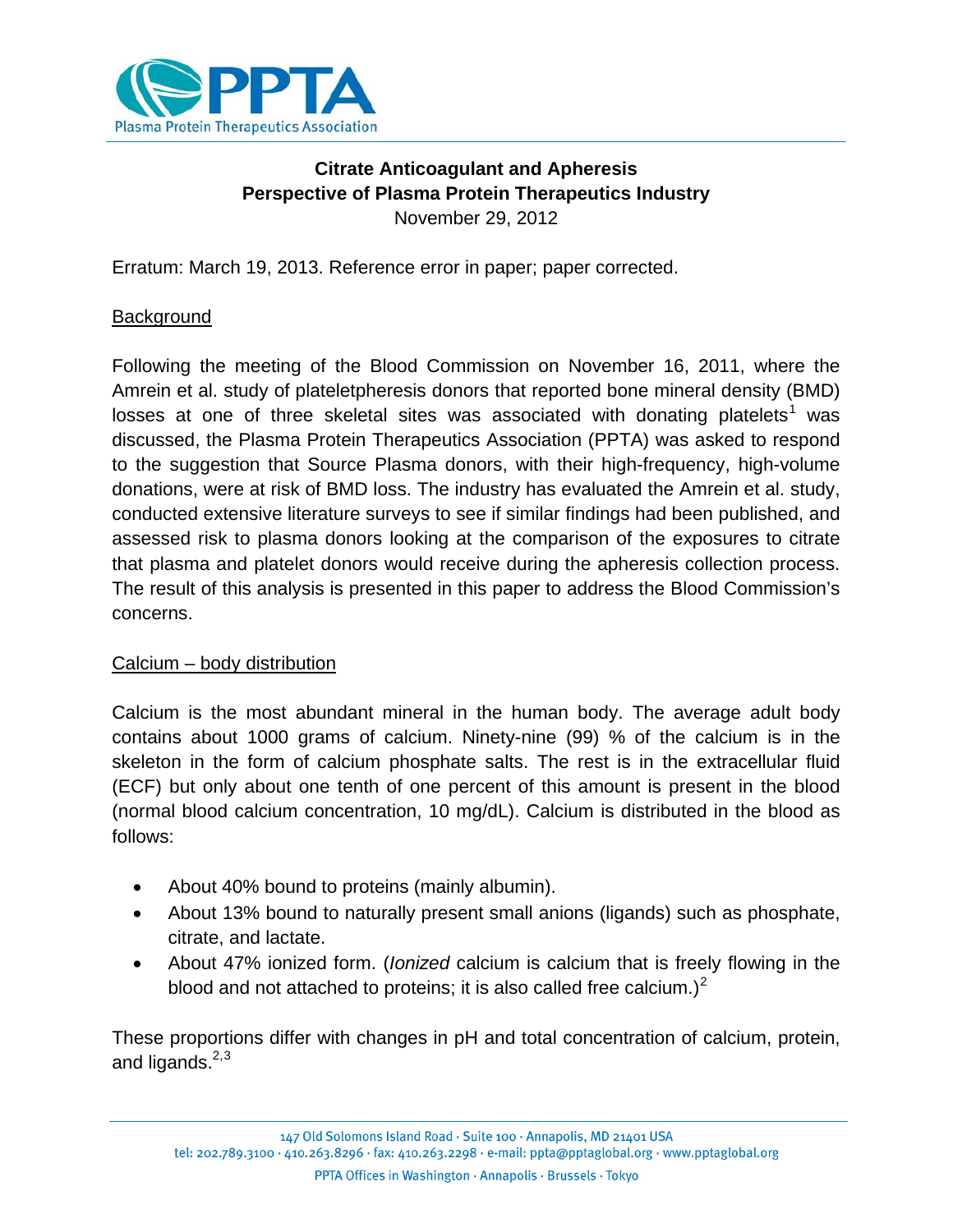

# <span id="page-0-2"></span>**Citrate Anticoagulant and Apheresis Perspective of Plasma Protein Therapeutics Industry** November 29, 2012

Erratum: March 19, 2013. Reference error in paper; paper corrected.

# **Background**

Following the meeting of the Blood Commission on November 16, 2011, where the Amrein et al. study of plateletpheresis donors that reported bone mineral density (BMD) losses at one of three skeletal sites was associated with donating platelets<sup>[1](#page-9-0)</sup> was discussed, the Plasma Protein Therapeutics Association (PPTA) was asked to respond to the suggestion that Source Plasma donors, with their high-frequency, high-volume donations, were at risk of BMD loss. The industry has evaluated the Amrein et al. study, conducted extensive literature surveys to see if similar findings had been published, and assessed risk to plasma donors looking at the comparison of the exposures to citrate that plasma and platelet donors would receive during the apheresis collection process. The result of this analysis is presented in this paper to address the Blood Commission's concerns.

# Calcium – body distribution

Calcium is the most abundant mineral in the human body. The average adult body contains about 1000 grams of calcium. Ninety-nine (99) % of the calcium is in the skeleton in the form of calcium phosphate salts. The rest is in the extracellular fluid (ECF) but only about one tenth of one percent of this amount is present in the blood (normal blood calcium concentration, 10 mg/dL). Calcium is distributed in the blood as follows:

- About 40% bound to proteins (mainly albumin).
- About 13% bound to naturally present small anions (ligands) such as phosphate, citrate, and lactate.
- <span id="page-0-0"></span>• About 47% ionized form. (*Ionized* calcium is calcium that is freely flowing in the blood and not attached to proteins; it is also called free calcium.)<sup>[2](#page-9-1)</sup>

<span id="page-0-1"></span>These proportions differ with changes in pH and total concentration of calcium, protein, and ligands. $2,3$  $2,3$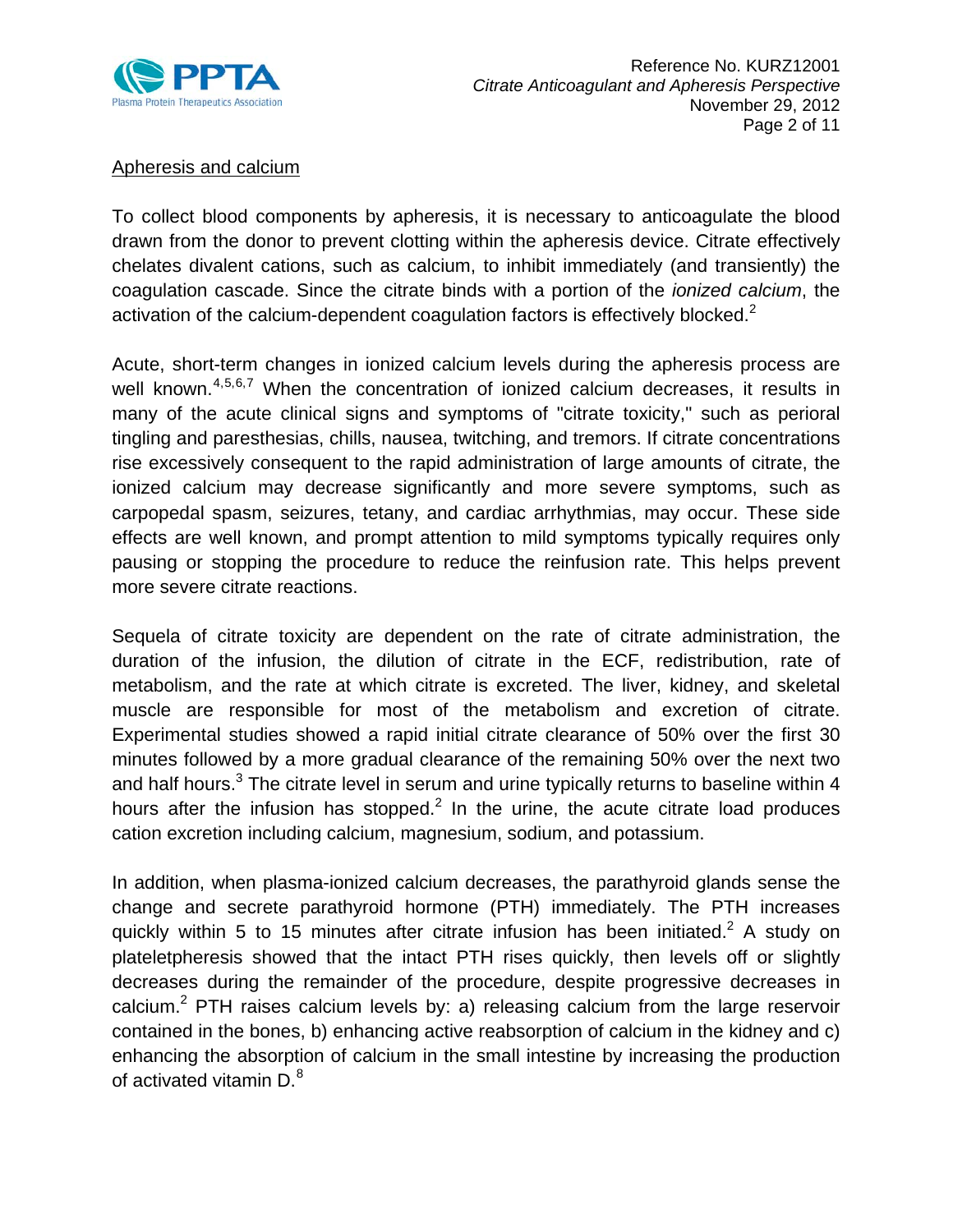

# Apheresis and calcium

To collect blood components by apheresis, it is necessary to anticoagulate the blood drawn from the donor to prevent clotting within the apheresis device. Citrate effectively chelates divalent cations, such as calcium, to inhibit immediately (and transiently) the coagulation cascade. Since the citrate binds with a portion of the *ionized calcium*, the activation of the calcium-dependent coagulation factors is effectively blocked.<sup>[2](#page-0-0)</sup>

<span id="page-1-2"></span><span id="page-1-1"></span><span id="page-1-0"></span>Acute, short-term changes in ionized calcium levels during the apheresis process are well known.<sup>[4,](#page-9-3)[5,](#page-9-4)[6,](#page-9-5)[7](#page-9-6)</sup> When the concentration of ionized calcium decreases, it results in many of the acute clinical signs and symptoms of "citrate toxicity," such as perioral tingling and paresthesias, chills, nausea, twitching, and tremors. If citrate concentrations rise excessively consequent to the rapid administration of large amounts of citrate, the ionized calcium may decrease significantly and more severe symptoms, such as carpopedal spasm, seizures, tetany, and cardiac arrhythmias, may occur. These side effects are well known, and prompt attention to mild symptoms typically requires only pausing or stopping the procedure to reduce the reinfusion rate. This helps prevent more severe citrate reactions.

Sequela of citrate toxicity are dependent on the rate of citrate administration, the duration of the infusion, the dilution of citrate in the ECF, redistribution, rate of metabolism, and the rate at which citrate is excreted. The liver, kidney, and skeletal muscle are responsible for most of the metabolism and excretion of citrate. Experimental studies showed a rapid initial citrate clearance of 50% over the first 30 minutes followed by a more gradual clearance of the remaining 50% over the next two and half hours. $3$  The citrate level in serum and urine typically returns to baseline within 4 hours after the infusion has stopped. $2$  In the urine, the acute citrate load produces cation excretion including calcium, magnesium, sodium, and potassium.

In addition, when plasma-ionized calcium decreases, the parathyroid glands sense the change and secrete parathyroid hormone (PTH) immediately. The PTH increases quickly within 5 to 15 minutes after citrate infusion has been initiated.<sup>[2](#page-0-0)</sup> A study on plateletpheresis showed that the intact PTH rises quickly, then levels off or slightly decreases during the remainder of the procedure, despite progressive decreases in calcium.<sup>[2](#page-0-0)</sup> PTH raises calcium levels by: a) releasing calcium from the large reservoir contained in the bones, b) enhancing active reabsorption of calcium in the kidney and c) enhancing the absorption of calcium in the small intestine by increasing the production of activated vitamin D.<sup>[8](#page-9-7)</sup>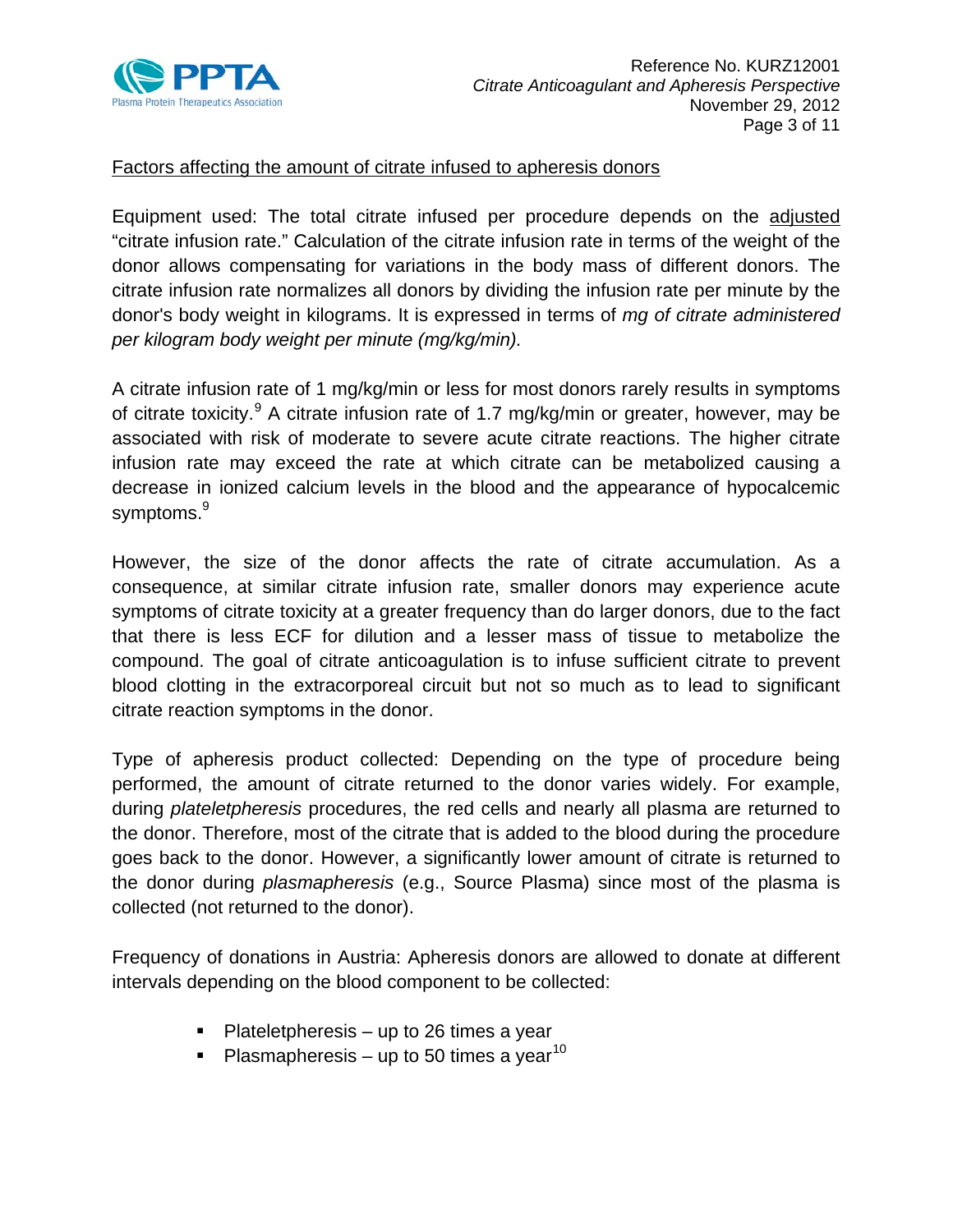

#### Factors affecting the amount of citrate infused to apheresis donors

Equipment used: The total citrate infused per procedure depends on the adjusted "citrate infusion rate." Calculation of the citrate infusion rate in terms of the weight of the donor allows compensating for variations in the body mass of different donors. The citrate infusion rate normalizes all donors by dividing the infusion rate per minute by the donor's body weight in kilograms. It is expressed in terms of *mg of citrate administered per kilogram body weight per minute (mg/kg/min).*

<span id="page-2-0"></span>A citrate infusion rate of 1 mg/kg/min or less for most donors rarely results in symptoms of citrate toxicity.<sup>[9](#page-10-0)</sup> A citrate infusion rate of 1.7 mg/kg/min or greater, however, may be associated with risk of moderate to severe acute citrate reactions. The higher citrate infusion rate may exceed the rate at which citrate can be metabolized causing a decrease in ionized calcium levels in the blood and the appearance of hypocalcemic symptoms.<sup>9</sup>

However, the size of the donor affects the rate of citrate accumulation. As a consequence, at similar citrate infusion rate, smaller donors may experience acute symptoms of citrate toxicity at a greater frequency than do larger donors, due to the fact that there is less ECF for dilution and a lesser mass of tissue to metabolize the compound. The goal of citrate anticoagulation is to infuse sufficient citrate to prevent blood clotting in the extracorporeal circuit but not so much as to lead to significant citrate reaction symptoms in the donor.

Type of apheresis product collected: Depending on the type of procedure being performed, the amount of citrate returned to the donor varies widely. For example, during *plateletpheresis* procedures, the red cells and nearly all plasma are returned to the donor. Therefore, most of the citrate that is added to the blood during the procedure goes back to the donor. However, a significantly lower amount of citrate is returned to the donor during *plasmapheresis* (e.g., Source Plasma) since most of the plasma is collected (not returned to the donor).

Frequency of donations in Austria: Apheresis donors are allowed to donate at different intervals depending on the blood component to be collected:

- $\blacksquare$  Plateletpheresis up to 26 times a year
- Plasmapheresis up to 50 times a year<sup>[10](#page-10-1)</sup>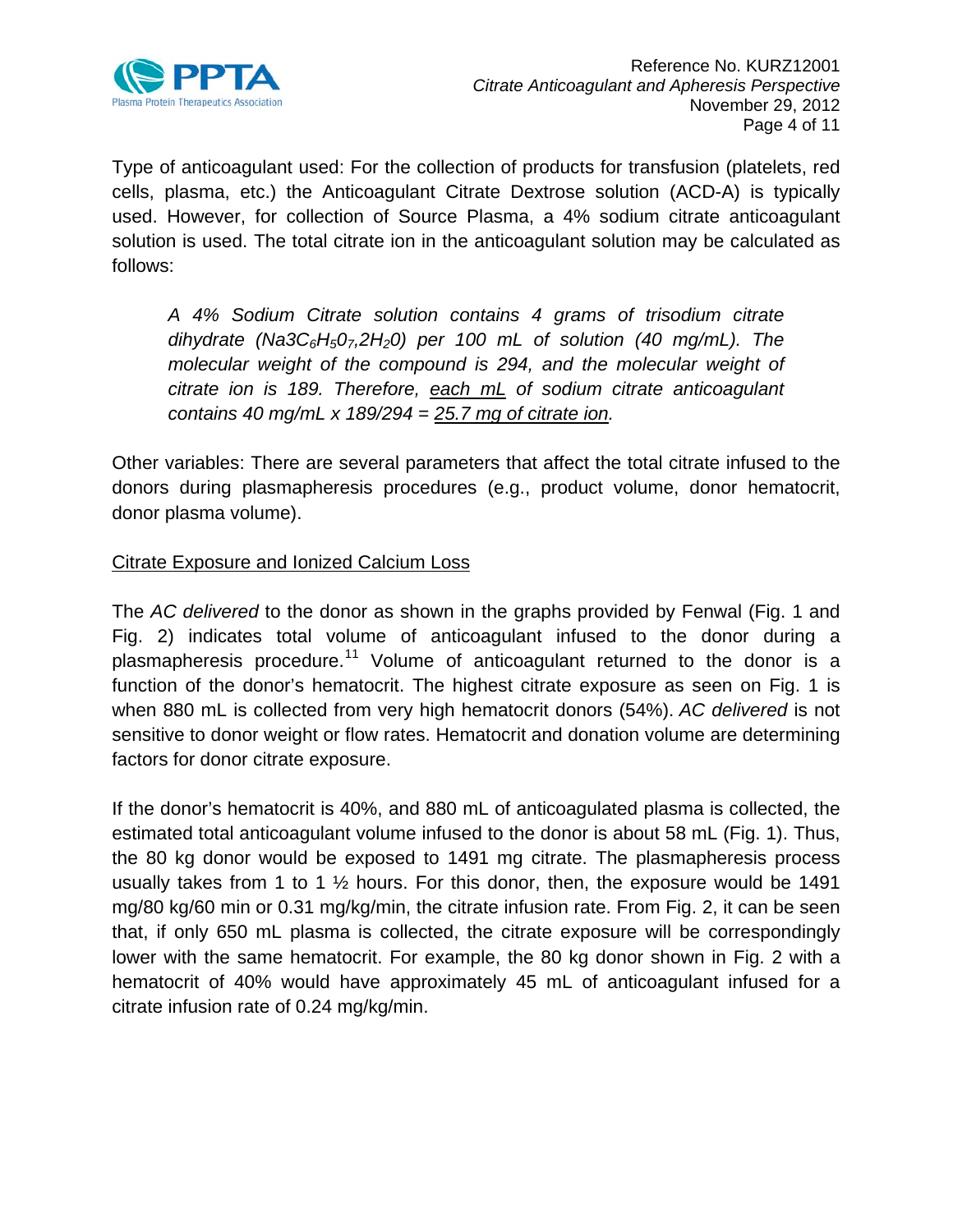

Type of anticoagulant used: For the collection of products for transfusion (platelets, red cells, plasma, etc.) the Anticoagulant Citrate Dextrose solution (ACD-A) is typically used. However, for collection of Source Plasma, a 4% sodium citrate anticoagulant solution is used. The total citrate ion in the anticoagulant solution may be calculated as follows:

*A 4% Sodium Citrate solution contains 4 grams of trisodium citrate dihydrate (Na3C6H507,2H20) per 100 mL of solution (40 mg/mL). The molecular weight of the compound is 294, and the molecular weight of citrate ion is 189. Therefore, each mL of sodium citrate anticoagulant contains 40 mg/mL x 189/294 = 25.7 mg of citrate ion.* 

Other variables: There are several parameters that affect the total citrate infused to the donors during plasmapheresis procedures (e.g., product volume, donor hematocrit, donor plasma volume).

# Citrate Exposure and Ionized Calcium Loss

<span id="page-3-0"></span>The *AC delivered* to the donor as shown in the graphs provided by Fenwal (Fig. 1 and Fig. 2) indicates total volume of anticoagulant infused to the donor during a plasmapheresis procedure.<sup>[11](#page-10-2)</sup> Volume of anticoagulant returned to the donor is a function of the donor's hematocrit. The highest citrate exposure as seen on Fig. 1 is when 880 mL is collected from very high hematocrit donors (54%). *AC delivered* is not sensitive to donor weight or flow rates. Hematocrit and donation volume are determining factors for donor citrate exposure.

If the donor's hematocrit is 40%, and 880 mL of anticoagulated plasma is collected, the estimated total anticoagulant volume infused to the donor is about 58 mL (Fig. 1). Thus, the 80 kg donor would be exposed to 1491 mg citrate. The plasmapheresis process usually takes from 1 to 1 ½ hours. For this donor, then, the exposure would be 1491 mg/80 kg/60 min or 0.31 mg/kg/min, the citrate infusion rate. From Fig. 2, it can be seen that, if only 650 mL plasma is collected, the citrate exposure will be correspondingly lower with the same hematocrit. For example, the 80 kg donor shown in Fig. 2 with a hematocrit of 40% would have approximately 45 mL of anticoagulant infused for a citrate infusion rate of 0.24 mg/kg/min.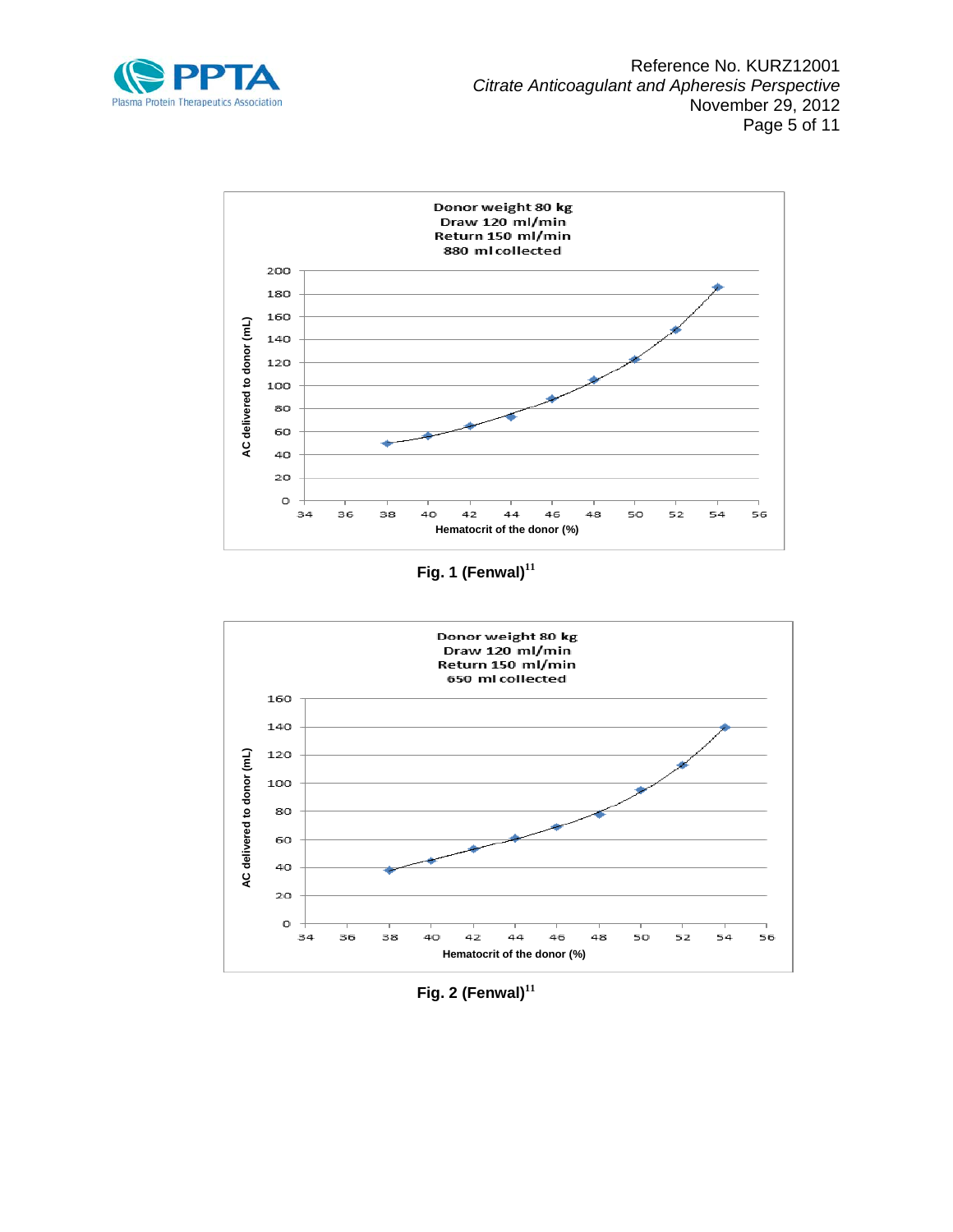



**Fig. 1 (Fenwal)[11](#page-3-0)**



**Fig. 2 (Fenwal)[11](#page-3-0)**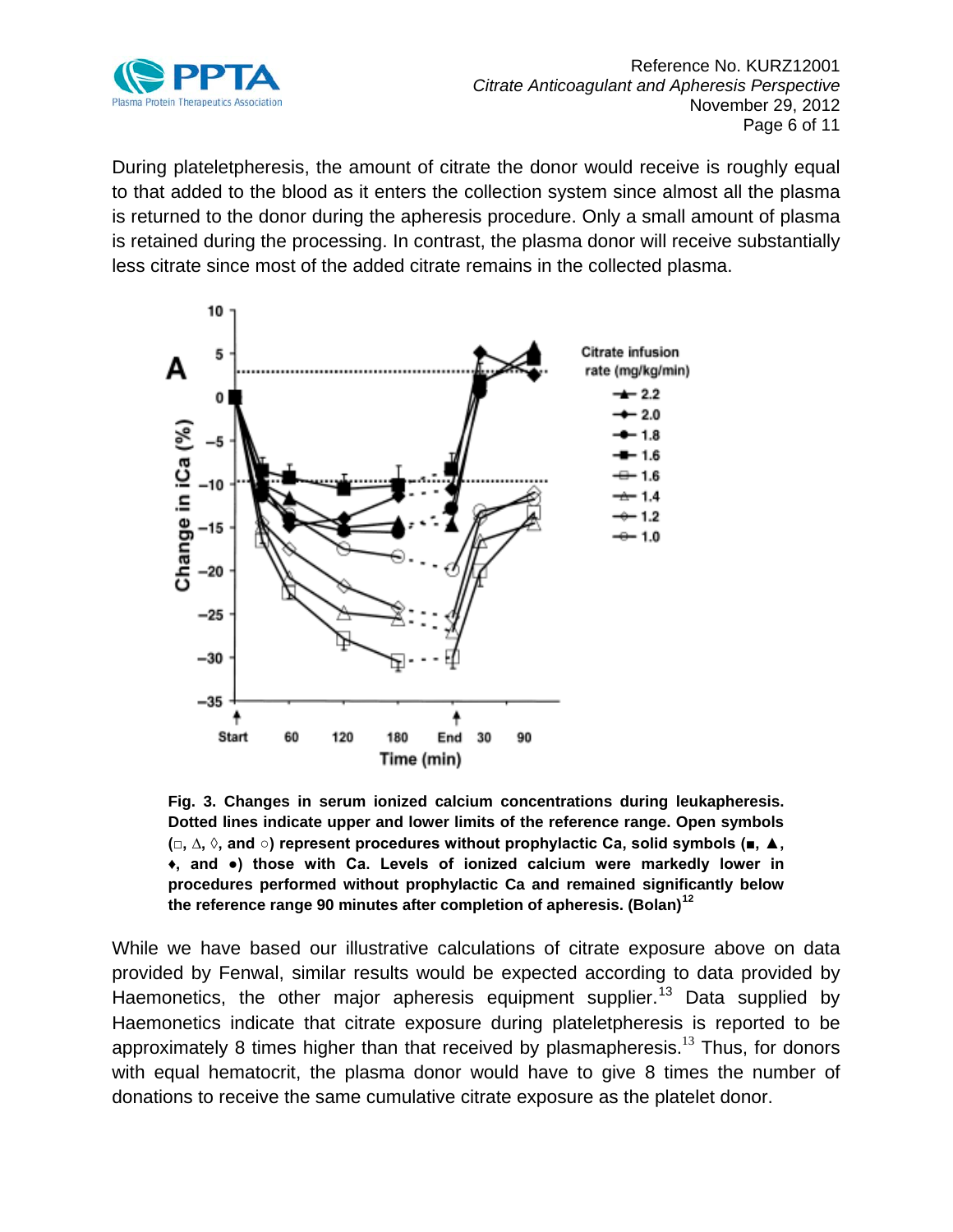

During plateletpheresis, the amount of citrate the donor would receive is roughly equal to that added to the blood as it enters the collection system since almost all the plasma is returned to the donor during the apheresis procedure. Only a small amount of plasma is retained during the processing. In contrast, the plasma donor will receive substantially less citrate since most of the added citrate remains in the collected plasma.



<span id="page-5-1"></span><span id="page-5-0"></span>**Fig. 3. Changes in serum ionized calcium concentrations during leukapheresis. Dotted lines indicate upper and lower limits of the reference range. Open symbols (□, ∆, ◊, and ○) represent procedures without prophylactic Ca, solid symbols (■, ▲, ♦, and ●) those with Ca. Levels of ionized calcium were markedly lower in procedures performed without prophylactic Ca and remained significantly below the reference range 90 minutes after completion of apheresis. (Bolan)[12](#page-10-3)**

While we have based our illustrative calculations of citrate exposure above on data provided by Fenwal, similar results would be expected according to data provided by Haemonetics, the other major apheresis equipment supplier.<sup>[13](#page-10-4)</sup> Data supplied by Haemonetics indicate that citrate exposure during plateletpheresis is reported to be approximately 8 times higher than that received by plasmapheresis.<sup>[13](#page-5-0)</sup> Thus, for donors with equal hematocrit, the plasma donor would have to give 8 times the number of donations to receive the same cumulative citrate exposure as the platelet donor.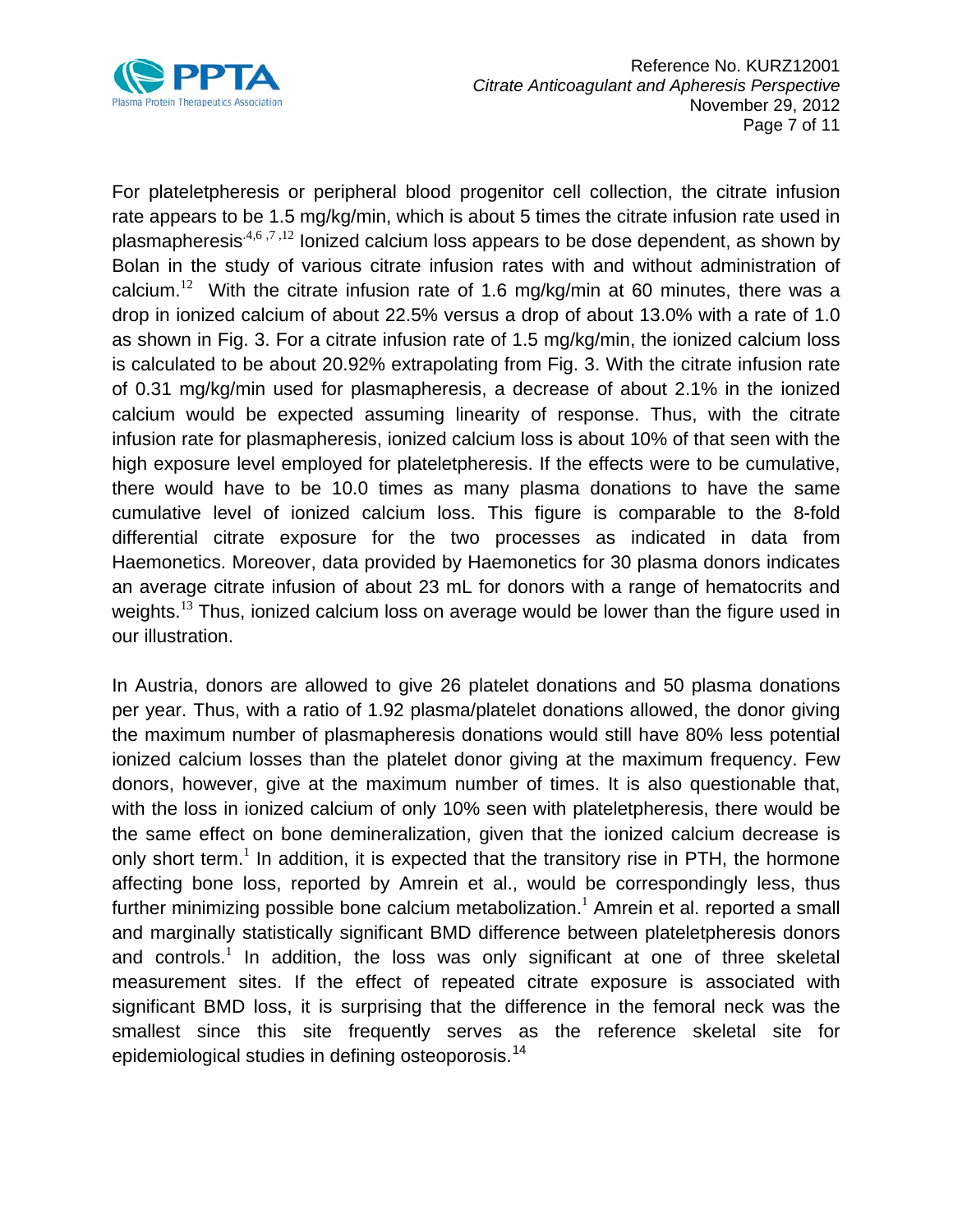

For plateletpheresis or peripheral blood progenitor cell collection, the citrate infusion rate appears to be 1.5 mg/kg/min, which is about 5 times the citrate infusion rate used in plasmapheresis<sup> $4,6,7,12$  $4,6,7,12$  $4,6,7,12$  $4,6,7,12$  $4,6,7,12$ </sup> lonized calcium loss appears to be dose dependent, as shown by Bolan in the study of various citrate infusion rates with and without administration of calcium.<sup>[12](#page-5-1)</sup> With the citrate infusion rate of 1.6 mg/kg/min at 60 minutes, there was a drop in ionized calcium of about 22.5% versus a drop of about 13.0% with a rate of 1.0 as shown in Fig. 3. For a citrate infusion rate of 1.5 mg/kg/min, the ionized calcium loss is calculated to be about 20.92% extrapolating from Fig. 3. With the citrate infusion rate of 0.31 mg/kg/min used for plasmapheresis, a decrease of about 2.1% in the ionized calcium would be expected assuming linearity of response. Thus, with the citrate infusion rate for plasmapheresis, ionized calcium loss is about 10% of that seen with the high exposure level employed for plateletpheresis. If the effects were to be cumulative, there would have to be 10.0 times as many plasma donations to have the same cumulative level of ionized calcium loss. This figure is comparable to the 8-fold differential citrate exposure for the two processes as indicated in data from Haemonetics. Moreover, data provided by Haemonetics for 30 plasma donors indicates an average citrate infusion of about 23 mL for donors with a range of hematocrits and weights.<sup>[13](#page-5-0)</sup> Thus, ionized calcium loss on average would be lower than the figure used in our illustration.

In Austria, donors are allowed to give 26 platelet donations and 50 plasma donations per year. Thus, with a ratio of 1.92 plasma/platelet donations allowed, the donor giving the maximum number of plasmapheresis donations would still have 80% less potential ionized calcium losses than the platelet donor giving at the maximum frequency. Few donors, however, give at the maximum number of times. It is also questionable that, with the loss in ionized calcium of only 10% seen with plateletpheresis, there would be the same effect on bone demineralization, given that the ionized calcium decrease is only short term[.](#page-0-2)<sup>1</sup> In addition, it is expected that the transitory rise in PTH, the hormone affecting bone loss, reported by Amrein et al., would be correspondingly less, thus further minimizing possible bone calcium metabolization. $<sup>1</sup>$  $<sup>1</sup>$  $<sup>1</sup>$  Amrein et al. reported a small</sup> and marginally statistically significant BMD difference between plateletpheresis donors and controls.<sup>[1](#page-0-2)</sup> In addition, the loss was only significant at one of three skeletal measurement sites. If the effect of repeated citrate exposure is associated with significant BMD loss, it is surprising that the difference in the femoral neck was the smallest since this site frequently serves as the reference skeletal site for epidemiological studies in defining osteoporosis.<sup>[14](#page-10-5)</sup>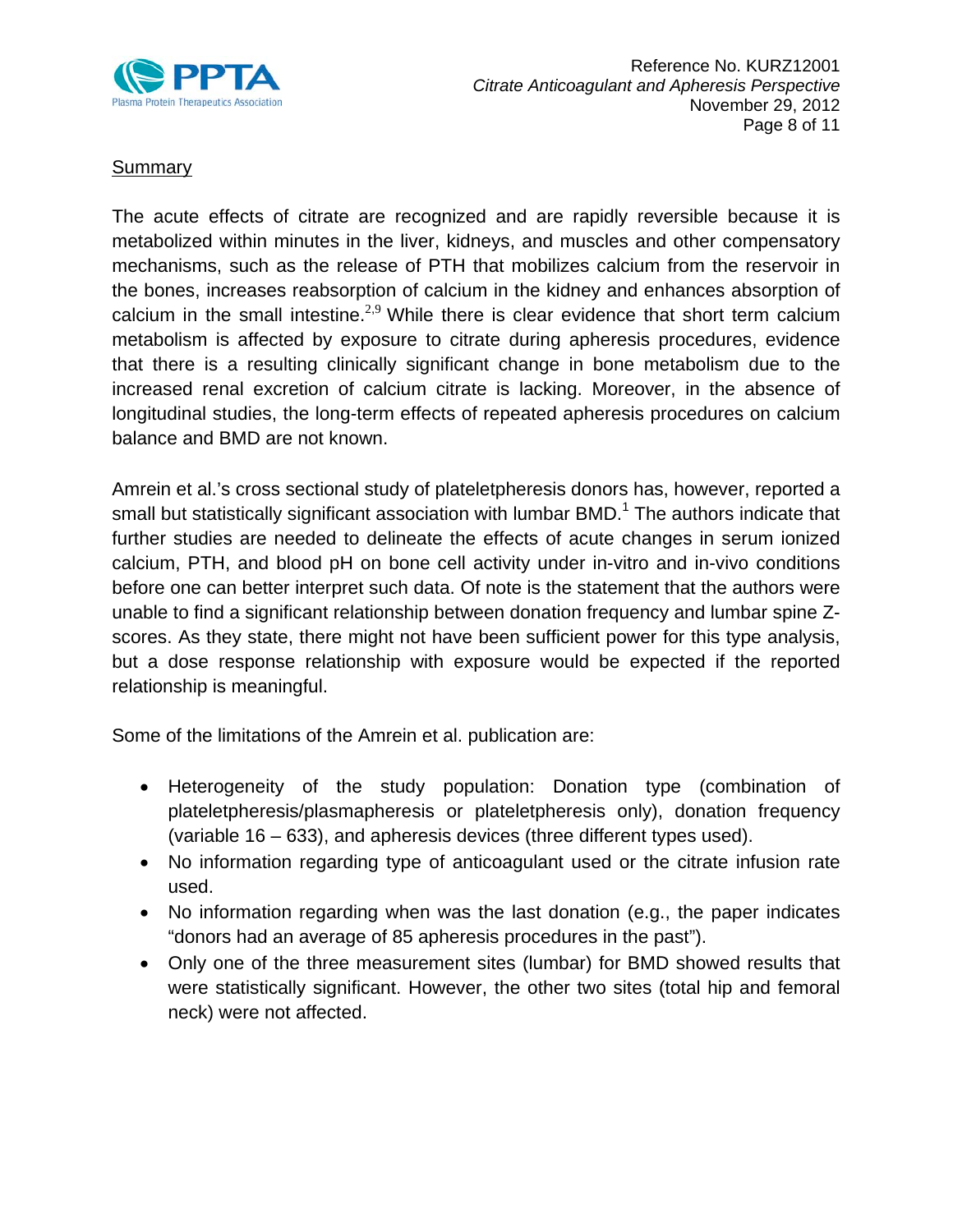

# **Summary**

The acute effects of citrate are recognized and are rapidly reversible because it is metabolized within minutes in the liver, kidneys, and muscles and other compensatory mechanisms, such as the release of PTH that mobilizes calcium from the reservoir in the bones, increases reabsorption of calcium in the kidney and enhances absorption of calcium in the small intestine[.](#page-0-0) $2,9$  $2,9$  While there is clear evidence that short term calcium metabolism is affected by exposure to citrate during apheresis procedures, evidence that there is a resulting clinically significant change in bone metabolism due to the increased renal excretion of calcium citrate is lacking. Moreover, in the absence of longitudinal studies, the long-term effects of repeated apheresis procedures on calcium balance and BMD are not known.

Amrein et al.'s cross sectional study of plateletpheresis donors has, however, reported a small but statistically significant association with lumbar  $BMD<sup>1</sup>$  $BMD<sup>1</sup>$  $BMD<sup>1</sup>$  The authors indicate that further studies are needed to delineate the effects of acute changes in serum ionized calcium, PTH, and blood pH on bone cell activity under in-vitro and in-vivo conditions before one can better interpret such data. Of note is the statement that the authors were unable to find a significant relationship between donation frequency and lumbar spine Zscores. As they state, there might not have been sufficient power for this type analysis, but a dose response relationship with exposure would be expected if the reported relationship is meaningful.

Some of the limitations of the Amrein et al. publication are:

- Heterogeneity of the study population: Donation type (combination of plateletpheresis/plasmapheresis or plateletpheresis only), donation frequency (variable 16 – 633), and apheresis devices (three different types used).
- No information regarding type of anticoagulant used or the citrate infusion rate used.
- No information regarding when was the last donation (e.g., the paper indicates "donors had an average of 85 apheresis procedures in the past").
- Only one of the three measurement sites (lumbar) for BMD showed results that were statistically significant. However, the other two sites (total hip and femoral neck) were not affected.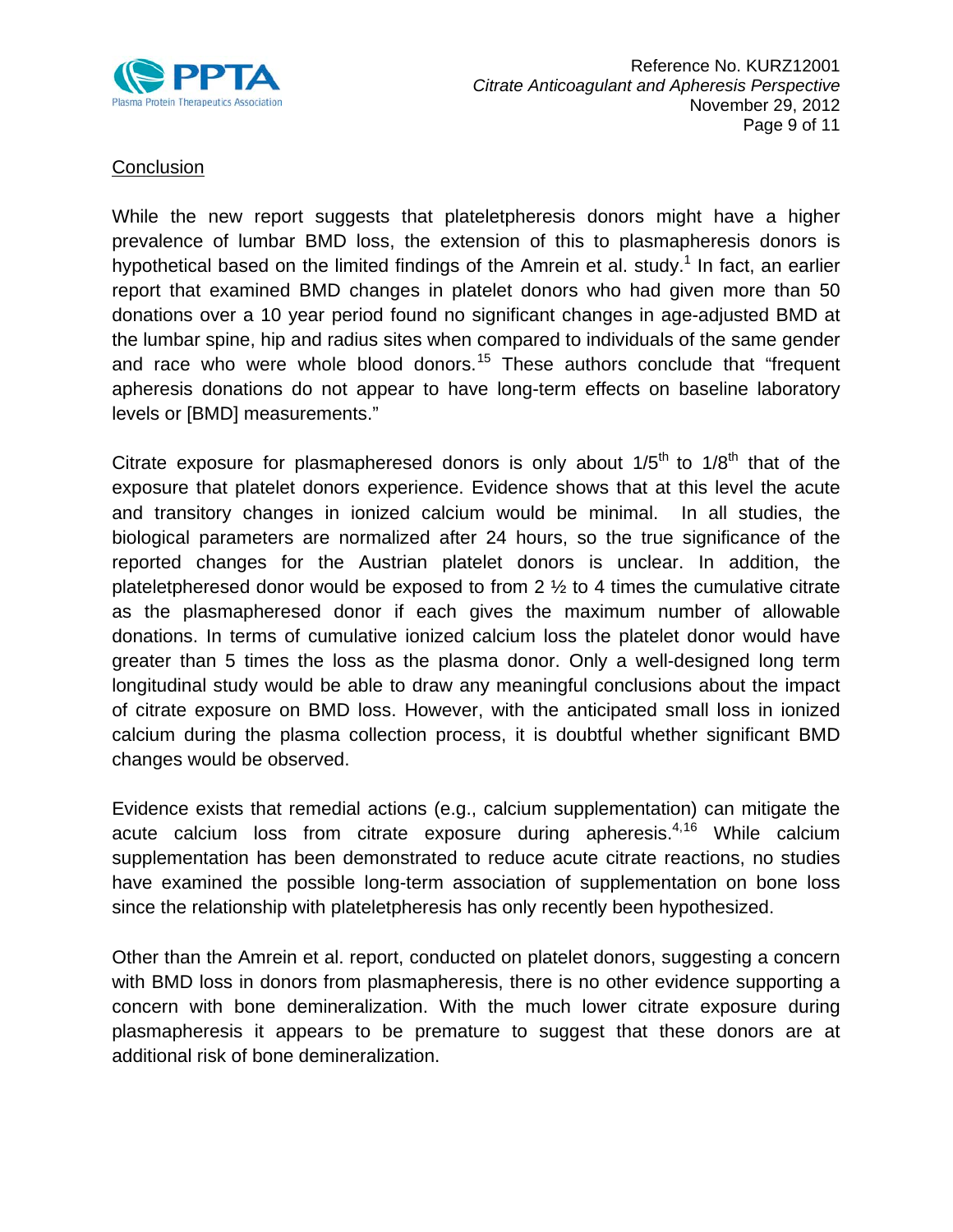

### **Conclusion**

While the new report suggests that plateletpheresis donors might have a higher prevalence of lumbar BMD loss, the extension of this to plasmapheresis donors is hypothetical based on the limited findings of the Amrein et al. study.<sup>[1](#page-0-2)</sup> In fact, an earlier report that examined BMD changes in platelet donors who had given more than 50 donations over a 10 year period found no significant changes in age-adjusted BMD at the lumbar spine, hip and radius sites when compared to individuals of the same gender and race who were whole blood donors.<sup>[15](#page-10-6)</sup> These authors conclude that "frequent apheresis donations do not appear to have long-term effects on baseline laboratory levels or [BMD] measurements."

Citrate exposure for plasmapheresed donors is only about  $1/5<sup>th</sup>$  to  $1/8<sup>th</sup>$  that of the exposure that platelet donors experience. Evidence shows that at this level the acute and transitory changes in ionized calcium would be minimal. In all studies, the biological parameters are normalized after 24 hours, so the true significance of the reported changes for the Austrian platelet donors is unclear. In addition, the plateletpheresed donor would be exposed to from 2  $\frac{1}{2}$  to 4 times the cumulative citrate as the plasmapheresed donor if each gives the maximum number of allowable donations. In terms of cumulative ionized calcium loss the platelet donor would have greater than 5 times the loss as the plasma donor. Only a well-designed long term longitudinal study would be able to draw any meaningful conclusions about the impact of citrate exposure on BMD loss. However, with the anticipated small loss in ionized calcium during the plasma collection process, it is doubtful whether significant BMD changes would be observed.

Evidence exists that remedial actions (e.g., calcium supplementation) can mitigate the acute calcium loss from citrate exposure during apheresis.<sup>[4,](#page-1-0)[16](#page-10-7)</sup> While calcium supplementation has been demonstrated to reduce acute citrate reactions, no studies have examined the possible long-term association of supplementation on bone loss since the relationship with plateletpheresis has only recently been hypothesized.

Other than the Amrein et al. report, conducted on platelet donors, suggesting a concern with BMD loss in donors from plasmapheresis, there is no other evidence supporting a concern with bone demineralization. With the much lower citrate exposure during plasmapheresis it appears to be premature to suggest that these donors are at additional risk of bone demineralization.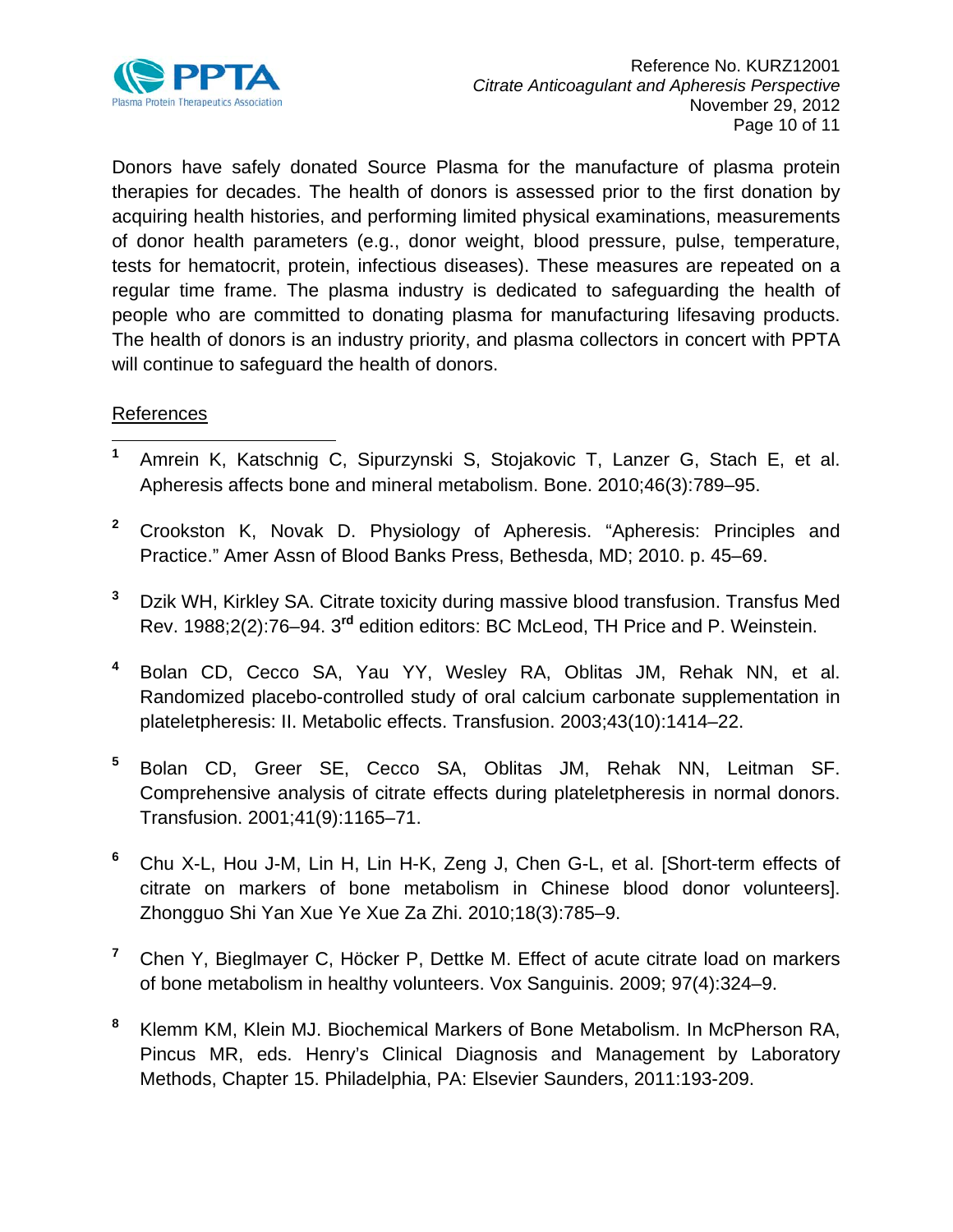

Donors have safely donated Source Plasma for the manufacture of plasma protein therapies for decades. The health of donors is assessed prior to the first donation by acquiring health histories, and performing limited physical examinations, measurements of donor health parameters (e.g., donor weight, blood pressure, pulse, temperature, tests for hematocrit, protein, infectious diseases). These measures are repeated on a regular time frame. The plasma industry is dedicated to safeguarding the health of people who are committed to donating plasma for manufacturing lifesaving products. The health of donors is an industry priority, and plasma collectors in concert with PPTA will continue to safeguard the health of donors.

# References

- <span id="page-9-0"></span> **<sup>1</sup>** Amrein K, Katschnig C, Sipurzynski S, Stojakovic T, Lanzer G, Stach E, et al. Apheresis affects bone and mineral metabolism. Bone. 2010;46(3):789–95.
- <span id="page-9-1"></span>**<sup>2</sup>** Crookston K, Novak D. Physiology of Apheresis. "Apheresis: Principles and Practice." Amer Assn of Blood Banks Press, Bethesda, MD; 2010. p. 45–69.
- <span id="page-9-2"></span>**<sup>3</sup>** Dzik WH, Kirkley SA. Citrate toxicity during massive blood transfusion. Transfus Med Rev. 1988;2(2):76–94. 3**rd** edition editors: BC McLeod, TH Price and P. Weinstein.
- <span id="page-9-3"></span>**<sup>4</sup>** Bolan CD, Cecco SA, Yau YY, Wesley RA, Oblitas JM, Rehak NN, et al. Randomized placebo-controlled study of oral calcium carbonate supplementation in plateletpheresis: II. Metabolic effects. Transfusion. 2003;43(10):1414–22.
- <span id="page-9-4"></span>**<sup>5</sup>** Bolan CD, Greer SE, Cecco SA, Oblitas JM, Rehak NN, Leitman SF. Comprehensive analysis of citrate effects during plateletpheresis in normal donors. Transfusion. 2001;41(9):1165–71.
- <span id="page-9-5"></span>**<sup>6</sup>** Chu X-L, Hou J-M, Lin H, Lin H-K, Zeng J, Chen G-L, et al. [Short-term effects of citrate on markers of bone metabolism in Chinese blood donor volunteers]. Zhongguo Shi Yan Xue Ye Xue Za Zhi. 2010;18(3):785–9.
- <span id="page-9-6"></span>**<sup>7</sup>** Chen Y, Bieglmayer C, Höcker P, Dettke M. Effect of acute citrate load on markers of bone metabolism in healthy volunteers. Vox Sanguinis. 2009; 97(4):324–9.
- <span id="page-9-7"></span>**<sup>8</sup>** Klemm KM, Klein MJ. Biochemical Markers of Bone Metabolism. In McPherson RA, Pincus MR, eds. Henry's Clinical Diagnosis and Management by Laboratory Methods, Chapter 15. Philadelphia, PA: Elsevier Saunders, 2011:193-209.